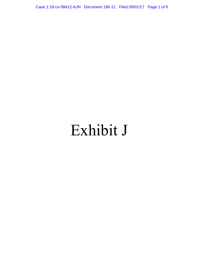Case 1:16-cv-08412-AJN Document 190-11 Filed 09/01/17 Page 1 of 6

# Exhibit J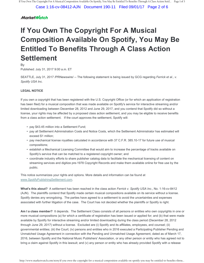Case 1:16-cv-08412-AJN Document 190-11 Filed 09/01/17 Page 2 of 6

## **MarketWatch**

## **If You Own The Copyright For A Musical Composition Available On Spotify, You May Be Entitled To Benefits Through A Class Action Settlement**

By

Published: July 31, 2017 9:00 a.m. ET

SEATTLE, July 31, 2017 /PRNewswire/ -- The following statement is being issued by GCG regarding *Ferrick et al., v. Spotify USA Inc.*

#### **LEGAL NOTICE**

If you own a copyright that has been registered with the U.S. Copyright Office (or for which an application of registration has been filed) for a musical composition that was made available on Spotify's service for interactive streaming and/or limited downloading between December 28, 2012 and June 29, 2017, and you contend that Spotify did so without a license, your rights may be affected by a proposed class action settlement, and you may be eligible to receive benefits from a class action settlement. If the court approves the settlement, Spotify will:

- pay \$43.45 million into a Settlement Fund;
- pay all Settlement Administration Costs and Notice Costs, which the Settlement Administrator has estimated will exceed \$1 million;
- pay mechanical license royalties calculated in accordance with 37 C.F.R. 385.10-17 for future use of musical compositions;
- establish a Mechanical Licensing Committee that would aim to increase the percentage of tracks available on Spotify's service that can be matched to a registered copyright owner; and
- coordinate industry efforts to share publisher catalog data to facilitate the mechanical licensing of content on streaming services and digitize pre-1978 Copyright Records and make them available online for free use by the public.

This notice summarizes your rights and options. More details and information can be found at www.SpotifyPublishingSettlement.com.

**What's this about?** A settlement has been reached in the class action *Ferrick v. Spotify USA Inc*., No. 1:16-cv-8412 (AJN). The plaintiffs contend that Spotify made certain musical compositions available on its service without a license. Spotify denies any wrongdoing. The parties have agreed to a settlement to avoid the uncertainties and expenses associated with further litigation of the case. The Court has not decided whether the plaintiffs or Spotify is right.

**Am I a class member?** It depends. The Settlement Class consists of all persons or entities who own copyrights in one or more musical compositions (a) for which a certificate of registration has been issued or applied for; and (b) that were made available by Spotify for interactive streaming and/or limited downloading during the class period (December 28, 2012 through June 29, 2017) without a license. Excluded are (i) Spotify and its affiliates, employees, and counsel; (ii) governmental entities; (iii) the Court; (iv) persons and entities who in 2016 executed a Participating Publisher Pending and Unmatched Usage Agreement in connection with the Pending and Unmatched Usage Agreement, dated as of March 17, 2016, between Spotify and the National Music Publishers' Association, or any other person or entity who has agreed not to bring a claim against Spotify in this lawsuit; and (v) any person or entity who has already provided Spotify with a release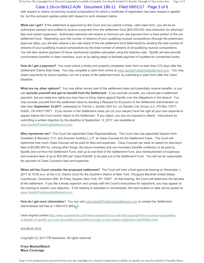If You Own The Copyright For A Musical Composition Available On Spotify, You May Be Entitled To Benefits Through A Class Action Sett... Page 2 of 3

## Case 1:16-cv-08412-AJN Document 190-11 Filed 09/01/17 Page 3 of 6

with respect to claims concerning musical compositions for which a certificate of registration has been issued or applied for, but the exclusion applies solely with respect to such released claims.

**What can I get?** If the settlement is approved by the Court and you submit a timely, valid claim form, you will be an authorized claimant and entitled to receive a payment from the settlement fund (\$43,450,000, less deduction for attorneys' fees and certain expenses). Authorized claimants will receive a minimum pro rata payment from a fixed portion of the net settlement fund. Depending upon the number of streams of your qualifying musical compositions (through the preliminary approval date), you will also receive a pro rata share of the net settlement fund determined by dividing the total number of streams of your qualifying musical compositions by the total number of streams of all qualifying musical compositions. You will also receive payment of future mechanical royalties calculated using the statutory rate. Spotify will also provide nonmonetary benefits to class members, such as by taking steps to facilitate payment of royalties for unmatched works.

**How do I get a payment?** You must submit a timely and properly completed claim form no later than 210 days after the Settlement Claims Start Date. You may complete a claim form online at www.SpotifyPublishingSettlement.com. You may obtain payments for future royalties, but not a share of the settlement fund, by submitting a claim form after the Claim Deadline.

**What are my other options?** You may either remain part of the settlement class and potentially receive benefits, or you can **exclude yourself and get no benefit from the Settlement.** If you exclude yourself, you cannot get a settlement payment, but you keep any rights you may have to bring claims against Spotify over the allegations in the lawsuit. You may exclude yourself from the settlement class by sending a Request for Exclusion to the Settlement Administrator no later than **September 12,2017**, addressed to: Ferrick v. Spotify USA Inc. c/o Garden City Group LLC, PO Box 10371, Dublin, OH 43017-5571. If you remain in the Settlement Class you (or your lawyer) have the right at your own expense to appear before the Court and/or object to the Settlement. If you object, you are not required to attend. Instructions for submitting a written objection by the deadline of September 12, 2017, are available at www.SpotifyPublishingSettlement.com.

**Who represents me?** The Court has appointed Class Representatives. The Court also has appointed lawyers from Gradstein & Marzano, P.C. and Susman Godfrey L.L.P. as Class Counsel for the Settlement Class. The Court will determine how much Class Counsel will be paid for fees and expenses. Class Counsel can seek an award for attorneys' fees of \$5,000,000 for, among other things, the future monetary and non-monetary benefits conferred, to be paid by Spotify and not from the Settlement Fund, and up to one-third of the Settlement Fund, plus reimbursement of expenses and incentive fees of up to \$25,000 per Class Plaintiff, to be paid out of the Settlement Fund. You will not be responsible for payment of Class Counsel's fees and expenses.

**When will the Court consider the proposed settlement?** The Court will hold a final approval hearing on December 1, 2017 at 10:00 a.m. at the U.S. District Court for the Southern District of New York, Thurgood Marshall United States Courthouse, Courtroom 906, 40 Foley Square, New York, NY 10007. At that hearing, the Court will determine the fairness of the settlement. If you file a timely objection and comply with the Court's instructions for objections, you may appear at the hearing to explain your objection. If the hearing is relocated or rescheduled, the new location or date will be posted at www.SpotifyPublishingSettlement.com.

**How do I get more information**? You can visit www.SpotifyPublishingSettlement.com or contact the Settlement Administrator toll free at 1-855-474-3853.

View original content:http://www.prnewswire.com/news-releases/if-you-own-the-copyright-for-a-musical-compositionavailable-on-spotify-you-may-be-entitled-to-benefits-through-a-class-action-settlement-300495822.html

#### SOURCE GCG

Copyright (C) 2017 PR Newswire. All rights reserved

**From MarketWatch More Coverage**

http://www.marketwatch.com/story/if-you-own-the-copyright-for-a-musical-composition-available-on-spotify-you-may-be-entitled-to-benefits-throu...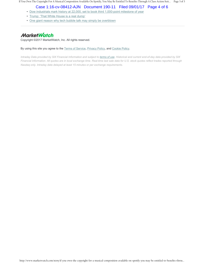If You Own The Copyright For A Musical Composition Available On Spotify, You May Be Entitled To Benefits Through A Class Action Sett... Page 3 of 3

## Case 1:16-cv-08412-AJN Document 190-11 Filed 09/01/17 Page 4 of 6

- Dow industrials mark history at 22,000, set to book third 1,000-point milestone of year
- Trump: 'That White House is a real dump'
- One giant reason why tech bubble talk may simply be overblown

## **MarketWatch**

Copyright ©2017 MarketWatch, Inc. All rights reserved.

By using this site you agree to the Terms of Service, Privacy Policy, and Cookie Policy.

*Intraday Data provided by SIX Financial Information and subject to terms of use. Historical and current end-of-day data provided by SIX Financial Information. All quotes are in local exchange time. Real-time last sale data for U.S. stock quotes reflect trades reported through Nasdaq only. Intraday data delayed at least 15 minutes or per exchange requirements.*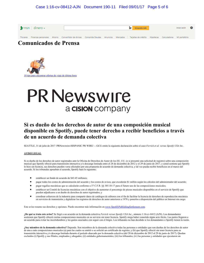#### Case 1:16-cv-08412-AJN Document 190-11 Filed 09/01/17 Page 5 of 6



## **Comunicados de Prensa**



## **PR Newswire** a cision company

## **Si es dueño de los derechos de autor de una composición musical disponible en Spotify, puede tener derecho a recibir beneficios a través de un acuerdo de demanda colectiva**

SEATTLE, 31 de julio de 2017 /PRNewswire-HISPANIC PR WIRE/ -- GCG emite la siguiente declaración sobre el caso *Ferrick et al. versus Spotify USA Inc.*

#### **AVISO LEGAL**

Si es dueño de los derechos de autor registrados ante la Oficina de Derechos de Autor de los EE. UU. (o si presentó una solicitud de registro) sobre una composición musical que Spotify ofreció para transmisión interactiva y/o descarga limitada entre el 28 de diciembre de 2012 y el 29 de junio de 2017, y usted sostiene que Spotify lo hizo sin licencia, sus derechos pueden verse afectados por una propuesta de acuerdo de demanda colectiva, y tal vez pueda recibir beneficios en el marco del acuerdo. Si los tribunales aprueban el acuerdo, Spotify hará lo siguiente:

- establecer un fondo de acuerdo de \$43.45 millones;
- pagar todos los costos de administración del acuerdo y los costos de avisos, que excederán \$1 millón según los cálculos del administrador del acuerdo;
- pagar regalías mecánicas que se calcularán conforme a 37 C.F.R. §§ 385.10-17 para el futuro uso de las composiciones musicales;
- establecer un Comité de licencias mecánicas con el objetivo de aumentar el porcentaje de piezas musicales disponibles en el servicio de Spotify que pueden adjudicarse a un dueño de derechos de autor registrados; y
- coordinar esfuerzos de la industria para compartir datos de catálogos de editores con el fin de facilitar la licencia de derechos de reproducción mecánica en servicios de transmisión y digitalizar los registros de derechos de autor anteriores a 1978 y ponerlos a disposición del público en Internet sin cargo.

Este aviso resume sus derechos y opciones. Puede encontrar más información en www.SpotifyPublishingSettlement.com.

**¿De qué se trata este aviso?** Se llegó a un acuerdo en la demanda colectiva *Ferrick versus Spotify USA Inc*., número 1:16-cv-8412 (AJN). Los demandantes sostienen que Spotify ofreció ciertas composiciones musicales en su servicio sin tener licencia. Spotify niega haber cometido algún acto ilícito. Las partes llegaron a un acuerdo para evitar las incertidumbres y los gastos asociados con seguir con el litigio. Los tribunales no han decidido si los demandantes o Spotify tienen la razón.

**¿Soy miembro de la demanda colectiva?** Depende. Son miembros de la demanda colectiva todas las personas o entidades que son dueñas de los derechos de autor de una o más composiciones musicales (a) para las cuales se emitió o se solicitó un certificado de registro; y (b) que Spotify ofreció sin tener licencia para su transmisión interactiva y/o descarga limitada durante el período abarcado por la demanda colectiva (del 28 de diciembre de 2012 al 29 de junio de 2017). Quedan excluidos (i) Spotify y sus filiales, empleados y abogados; (ii) entidades gubernamentales; (iii) los tribunales; (iv) las personas y entidades que ejecutaron un